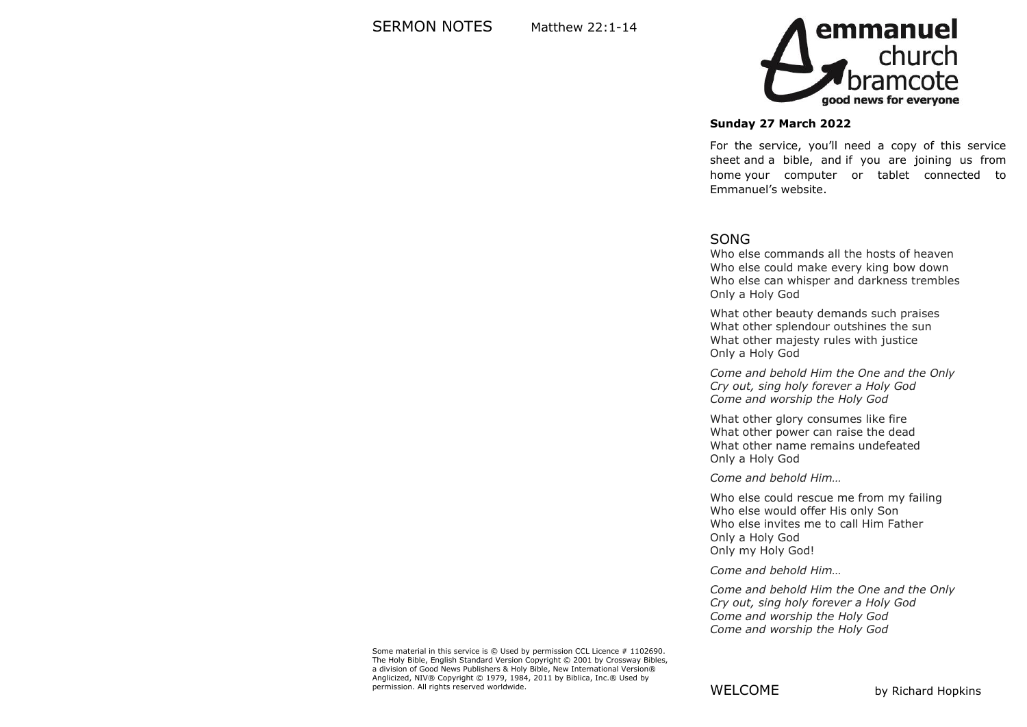

#### **Sunday 27 March 2022**

For the service, you'll need a copy of this service sheet and a bible, and if you are joining us from home your computer or tablet connected to Emmanuel's website.

#### SONG

Who else commands all the hosts of heaven Who else could make every king bow down Who else can whisper and darkness trembles Only a Holy God

What other beauty demands such praises What other splendour outshines the sun What other majesty rules with justice Only a Holy God

*Come and behold Him the One and the Only Cry out, sing holy forever a Holy God Come and worship the Holy God*

What other glory consumes like fire What other power can raise the dead What other name remains undefeated Only a Holy God

*Come and behold Him…*

Who else could rescue me from my failing Who else would offer His only Son Who else invites me to call Him Father Only a Holy God Only my Holy God!

*Come and behold Him…*

*Come and behold Him the One and the Only Cry out, sing holy forever a Holy God Come and worship the Holy God Come and worship the Holy God*

Some material in this service is © Used by permission CCL Licence # 1102690. The Holy Bible, English Standard Version Copyright © 2001 by Crossway Bibles, a division of Good News Publishers & Holy Bible, New International Version® Anglicized, NIV® Copyright © 1979, 1984, 2011 by Biblica, Inc.® Used by permission. All rights reserved worldwide.